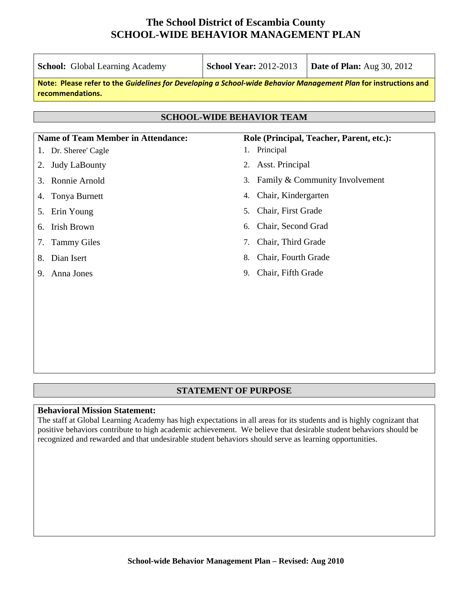| <b>School:</b> Global Learning Academy                                                                                              | <b>School Year: 2012-2013</b>    | <b>Date of Plan:</b> Aug 30, 2012        |  |
|-------------------------------------------------------------------------------------------------------------------------------------|----------------------------------|------------------------------------------|--|
| Note: Please refer to the Guidelines for Developing a School-wide Behavior Management Plan for instructions and<br>recommendations. |                                  |                                          |  |
|                                                                                                                                     | <b>SCHOOL-WIDE BEHAVIOR TEAM</b> |                                          |  |
|                                                                                                                                     |                                  |                                          |  |
| <b>Name of Team Member in Attendance:</b>                                                                                           |                                  | Role (Principal, Teacher, Parent, etc.): |  |
| Dr. Sheree' Cagle<br>1.                                                                                                             | Principal<br>1.                  |                                          |  |
| <b>Judy LaBounty</b><br>2.                                                                                                          | Asst. Principal<br>2.            |                                          |  |
| Ronnie Arnold<br>3.                                                                                                                 | 3.                               | Family & Community Involvement           |  |
| <b>Tonya Burnett</b><br>4.                                                                                                          | Chair, Kindergarten<br>4.        |                                          |  |
| Chair, First Grade<br>Erin Young<br>5.<br>5.                                                                                        |                                  |                                          |  |
| Chair, Second Grad<br><b>Irish Brown</b><br>6.<br>6.                                                                                |                                  |                                          |  |
| <b>Tammy Giles</b><br>7.                                                                                                            | Chair, Third Grade<br>7.         |                                          |  |
| Dian Isert<br>8.                                                                                                                    | Chair, Fourth Grade<br>8.        |                                          |  |
| Anna Jones<br>9.                                                                                                                    | Chair, Fifth Grade<br>9.         |                                          |  |
|                                                                                                                                     |                                  |                                          |  |
|                                                                                                                                     |                                  |                                          |  |
|                                                                                                                                     |                                  |                                          |  |

#### **STATEMENT OF PURPOSE**

#### **Behavioral Mission Statement:**

The staff at Global Learning Academy has high expectations in all areas for its students and is highly cognizant that positive behaviors contribute to high academic achievement. We believe that desirable student behaviors should be recognized and rewarded and that undesirable student behaviors should serve as learning opportunities.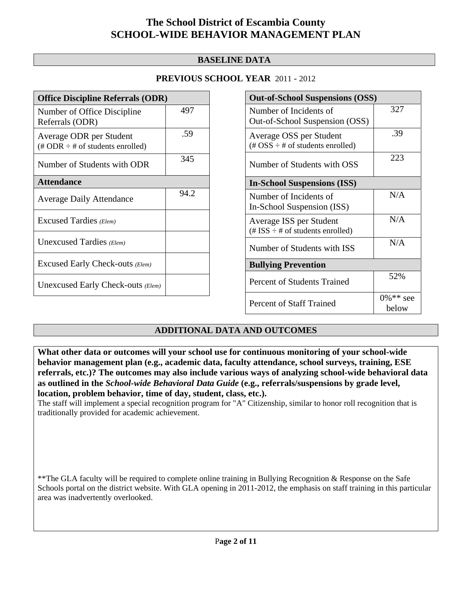#### **BASELINE DATA**

#### **PREVIOUS SCHOOL YEAR** 2011 - 2012

| <b>Office Discipline Referrals (ODR)</b>                                   |      |  |
|----------------------------------------------------------------------------|------|--|
| Number of Office Discipline<br>Referrals (ODR)                             | 497  |  |
| Average ODR per Student<br>$(\# ODR \div \# \text{ of students enrolled})$ | .59  |  |
| Number of Students with ODR                                                | 345  |  |
| <b>Attendance</b>                                                          |      |  |
| <b>Average Daily Attendance</b>                                            | 94.2 |  |
| Excused Tardies (Elem)                                                     |      |  |
| Unexcused Tardies (Elem)                                                   |      |  |
| Excused Early Check-outs (Elem)                                            |      |  |
| Unexcused Early Check-outs (Elem)                                          |      |  |

| <b>Out-of-School Suspensions (OSS)</b>                             |                       |  |
|--------------------------------------------------------------------|-----------------------|--|
| Number of Incidents of<br>Out-of-School Suspension (OSS)           | 327                   |  |
| Average OSS per Student<br>(# $OSS \div #$ of students enrolled)   | .39                   |  |
| Number of Students with OSS                                        | 223                   |  |
| <b>In-School Suspensions (ISS)</b>                                 |                       |  |
| Number of Incidents of<br>In-School Suspension (ISS)               | N/A                   |  |
| Average ISS per Student<br>$(\# ISS \div \# of students enrolled)$ | N/A                   |  |
| Number of Students with ISS                                        | N/A                   |  |
| <b>Bullying Prevention</b>                                         |                       |  |
| Percent of Students Trained                                        | 52%                   |  |
| <b>Percent of Staff Trained</b>                                    | $0\%$ ** see<br>below |  |

#### **ADDITIONAL DATA AND OUTCOMES**

**What other data or outcomes will your school use for continuous monitoring of your school-wide behavior management plan (e.g., academic data, faculty attendance, school surveys, training, ESE referrals, etc.)? The outcomes may also include various ways of analyzing school-wide behavioral data as outlined in the** *School-wide Behavioral Data Guide* **(e.g., referrals/suspensions by grade level, location, problem behavior, time of day, student, class, etc.).**

The staff will implement a special recognition program for "A" Citizenship, similar to honor roll recognition that is traditionally provided for academic achievement.

\*\*The GLA faculty will be required to complete online training in Bullying Recognition & Response on the Safe Schools portal on the district website. With GLA opening in 2011-2012, the emphasis on staff training in this particular area was inadvertently overlooked.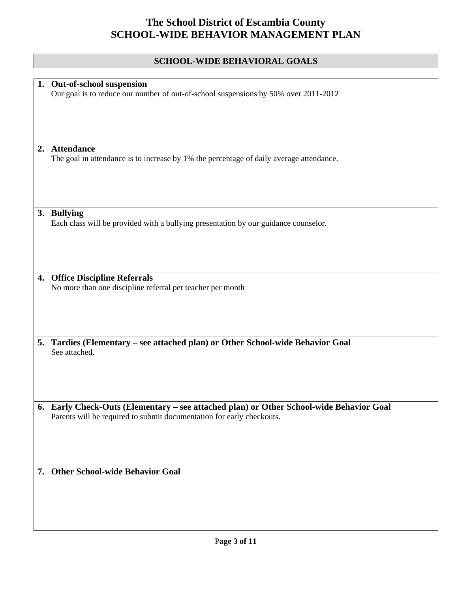## **SCHOOL-WIDE BEHAVIORAL GOALS**

|    | 1. Out-of-school suspension                                                             |
|----|-----------------------------------------------------------------------------------------|
|    | Our goal is to reduce our number of out-of-school suspensions by 50% over 2011-2012     |
|    |                                                                                         |
|    |                                                                                         |
|    |                                                                                         |
|    |                                                                                         |
|    |                                                                                         |
|    |                                                                                         |
| 2. | <b>Attendance</b>                                                                       |
|    |                                                                                         |
|    | The goal in attendance is to increase by 1% the percentage of daily average attendance. |
|    |                                                                                         |
|    |                                                                                         |
|    |                                                                                         |
|    |                                                                                         |
|    |                                                                                         |
|    |                                                                                         |
|    | 3. Bullying                                                                             |
|    | Each class will be provided with a bullying presentation by our guidance counselor.     |
|    |                                                                                         |
|    |                                                                                         |
|    |                                                                                         |
|    |                                                                                         |
|    |                                                                                         |
|    |                                                                                         |
|    |                                                                                         |
| 4. | <b>Office Discipline Referrals</b>                                                      |
|    | No more than one discipline referral per teacher per month                              |
|    |                                                                                         |
|    |                                                                                         |
|    |                                                                                         |
|    |                                                                                         |
|    |                                                                                         |
|    |                                                                                         |
| 5. | Tardies (Elementary - see attached plan) or Other School-wide Behavior Goal             |
|    | See attached.                                                                           |
|    |                                                                                         |
|    |                                                                                         |
|    |                                                                                         |
|    |                                                                                         |
|    |                                                                                         |
|    |                                                                                         |
|    |                                                                                         |
|    | 6. Early Check-Outs (Elementary - see attached plan) or Other School-wide Behavior Goal |
|    | Parents will be required to submit documentation for early checkouts.                   |
|    |                                                                                         |
|    |                                                                                         |
|    |                                                                                         |
|    |                                                                                         |
|    |                                                                                         |
|    |                                                                                         |
|    | 7. Other School-wide Behavior Goal                                                      |
|    |                                                                                         |
|    |                                                                                         |
|    |                                                                                         |
|    |                                                                                         |
|    |                                                                                         |
|    |                                                                                         |
|    |                                                                                         |
|    |                                                                                         |
|    |                                                                                         |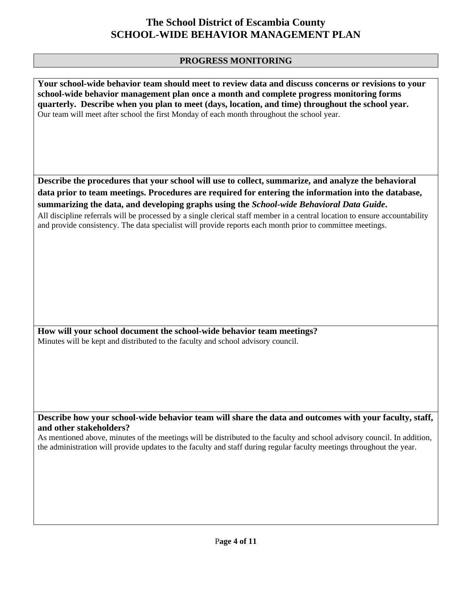#### **PROGRESS MONITORING**

**Your school-wide behavior team should meet to review data and discuss concerns or revisions to your school-wide behavior management plan once a month and complete progress monitoring forms quarterly. Describe when you plan to meet (days, location, and time) throughout the school year.**  Our team will meet after school the first Monday of each month throughout the school year.

**Describe the procedures that your school will use to collect, summarize, and analyze the behavioral data prior to team meetings. Procedures are required for entering the information into the database, summarizing the data, and developing graphs using the** *School-wide Behavioral Data Guide***.** 

All discipline referrals will be processed by a single clerical staff member in a central location to ensure accountability and provide consistency. The data specialist will provide reports each month prior to committee meetings.

**How will your school document the school-wide behavior team meetings?** Minutes will be kept and distributed to the faculty and school advisory council.

**Describe how your school-wide behavior team will share the data and outcomes with your faculty, staff, and other stakeholders?** 

As mentioned above, minutes of the meetings will be distributed to the faculty and school advisory council. In addition, the administration will provide updates to the faculty and staff during regular faculty meetings throughout the year.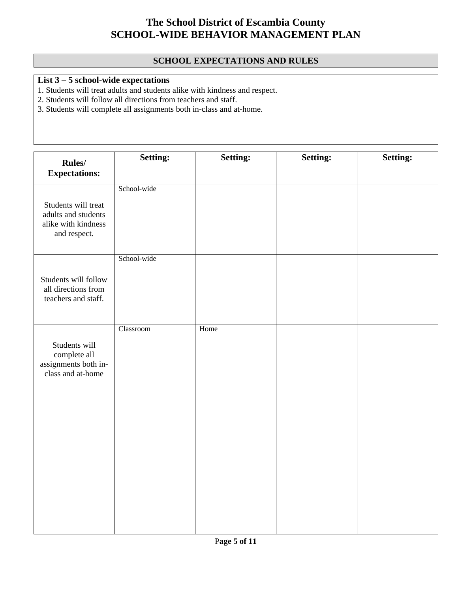#### **SCHOOL EXPECTATIONS AND RULES**

#### **List 3 – 5 school-wide expectations**

1. Students will treat adults and students alike with kindness and respect.

2. Students will follow all directions from teachers and staff.

3. Students will complete all assignments both in-class and at-home.

| Rules/<br><b>Expectations:</b>                                                    | Setting:    | Setting: | Setting: | Setting: |
|-----------------------------------------------------------------------------------|-------------|----------|----------|----------|
| Students will treat<br>adults and students<br>alike with kindness<br>and respect. | School-wide |          |          |          |
| Students will follow<br>all directions from<br>teachers and staff.                | School-wide |          |          |          |
| Students will<br>complete all<br>assignments both in-<br>class and at-home        | Classroom   | Home     |          |          |
|                                                                                   |             |          |          |          |
|                                                                                   |             |          |          |          |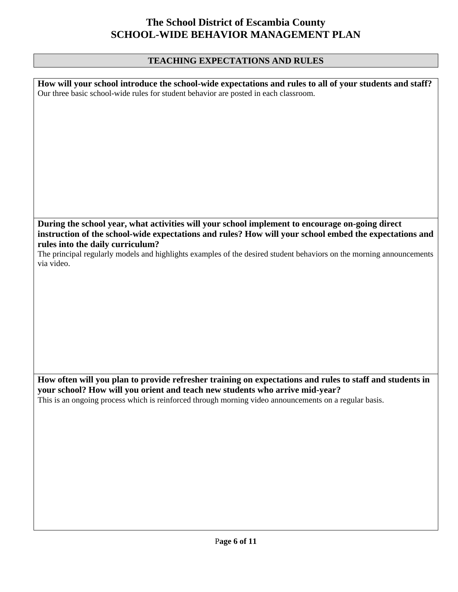### **TEACHING EXPECTATIONS AND RULES**

| How will your school introduce the school-wide expectations and rules to all of your students and staff?<br>Our three basic school-wide rules for student behavior are posted in each classroom. |
|--------------------------------------------------------------------------------------------------------------------------------------------------------------------------------------------------|
|                                                                                                                                                                                                  |
|                                                                                                                                                                                                  |
|                                                                                                                                                                                                  |
|                                                                                                                                                                                                  |
|                                                                                                                                                                                                  |
|                                                                                                                                                                                                  |
|                                                                                                                                                                                                  |
| During the school year, what activities will your school implement to encourage on-going direct                                                                                                  |
| instruction of the school-wide expectations and rules? How will your school embed the expectations and<br>rules into the daily curriculum?                                                       |
| The principal regularly models and highlights examples of the desired student behaviors on the morning announcements                                                                             |
| via video.                                                                                                                                                                                       |
|                                                                                                                                                                                                  |
|                                                                                                                                                                                                  |
|                                                                                                                                                                                                  |
|                                                                                                                                                                                                  |
|                                                                                                                                                                                                  |
|                                                                                                                                                                                                  |
| How often will you plan to provide refresher training on expectations and rules to staff and students in<br>your school? How will you orient and teach new students who arrive mid-year?         |
| This is an ongoing process which is reinforced through morning video announcements on a regular basis.                                                                                           |
|                                                                                                                                                                                                  |
|                                                                                                                                                                                                  |
|                                                                                                                                                                                                  |
|                                                                                                                                                                                                  |
|                                                                                                                                                                                                  |
|                                                                                                                                                                                                  |
|                                                                                                                                                                                                  |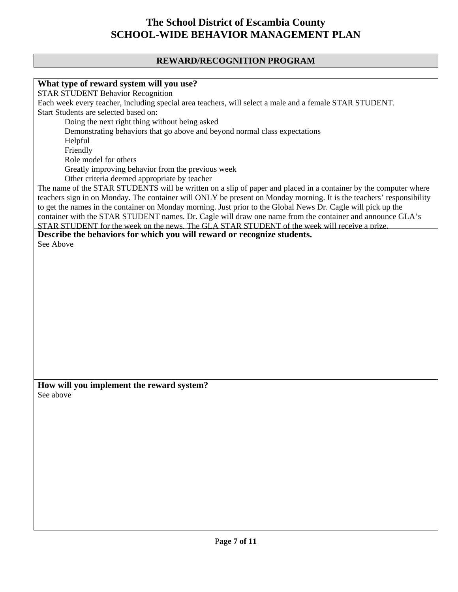#### **REWARD/RECOGNITION PROGRAM**

# **What type of reward system will you use?**  STAR STUDENT Behavior Recognition Each week every teacher, including special area teachers, will select a male and a female STAR STUDENT. Start Students are selected based on: Doing the next right thing without being asked Demonstrating behaviors that go above and beyond normal class expectations Helpful Friendly Role model for others Greatly improving behavior from the previous week Other criteria deemed appropriate by teacher The name of the STAR STUDENTS will be written on a slip of paper and placed in a container by the computer where teachers sign in on Monday. The container will ONLY be present on Monday morning. It is the teachers' responsibility to get the names in the container on Monday morning. Just prior to the Global News Dr. Cagle will pick up the container with the STAR STUDENT names. Dr. Cagle will draw one name from the container and announce GLA's STAR STUDENT for the week on the news. The GLA STAR STUDENT of the week will receive a prize. **Describe the behaviors for which you will reward or recognize students.**  See Above **How will you implement the reward system?**  See above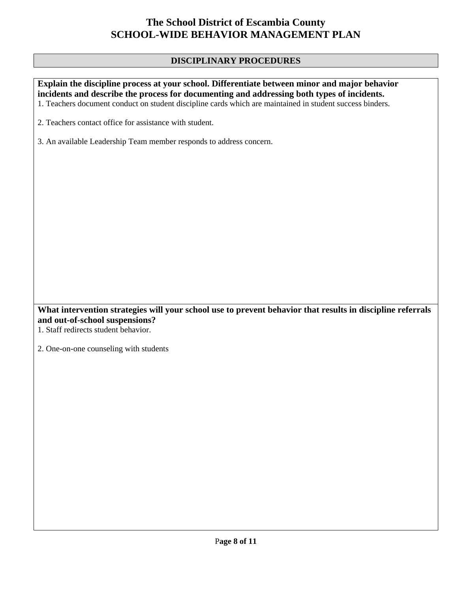#### **DISCIPLINARY PROCEDURES**

**Explain the discipline process at your school. Differentiate between minor and major behavior incidents and describe the process for documenting and addressing both types of incidents.**  1. Teachers document conduct on student discipline cards which are maintained in student success binders. 2. Teachers contact office for assistance with student. 3. An available Leadership Team member responds to address concern. **What intervention strategies will your school use to prevent behavior that results in discipline referrals** 

**and out-of-school suspensions?** 

1. Staff redirects student behavior.

2. One-on-one counseling with students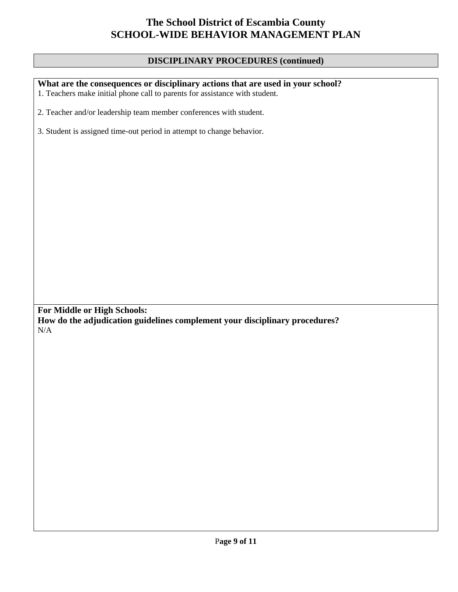#### **DISCIPLINARY PROCEDURES (continued)**

1. Teachers make initial phone call to parents for assistance with student. 2. Teacher and/or leadership team member conferences with student. 3. Student is assigned time-out period in attempt to change behavior. **For Middle or High Schools: How do the adjudication guidelines complement your disciplinary procedures?**  N/A

**What are the consequences or disciplinary actions that are used in your school?**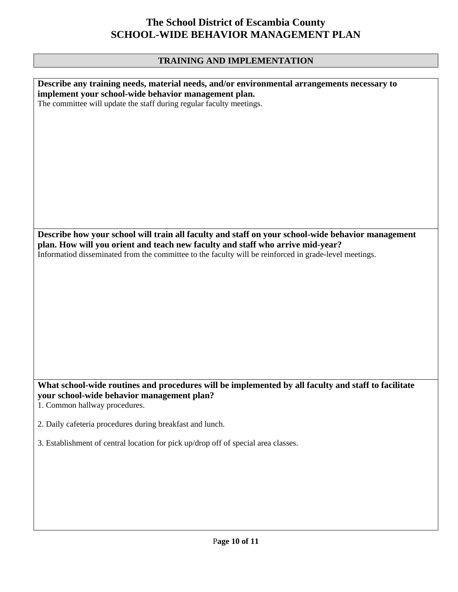### **TRAINING AND IMPLEMENTATION**

| Describe any training needs, material needs, and/or environmental arrangements necessary to                                                                                         |
|-------------------------------------------------------------------------------------------------------------------------------------------------------------------------------------|
| implement your school-wide behavior management plan.<br>The committee will update the staff during regular faculty meetings.                                                        |
|                                                                                                                                                                                     |
|                                                                                                                                                                                     |
|                                                                                                                                                                                     |
|                                                                                                                                                                                     |
|                                                                                                                                                                                     |
|                                                                                                                                                                                     |
|                                                                                                                                                                                     |
|                                                                                                                                                                                     |
| Describe how your school will train all faculty and staff on your school-wide behavior management<br>plan. How will you orient and teach new faculty and staff who arrive mid-year? |
| Informatiod disseminated from the committee to the faculty will be reinforced in grade-level meetings.                                                                              |
|                                                                                                                                                                                     |
|                                                                                                                                                                                     |
|                                                                                                                                                                                     |
|                                                                                                                                                                                     |
|                                                                                                                                                                                     |
|                                                                                                                                                                                     |
|                                                                                                                                                                                     |
|                                                                                                                                                                                     |
| What school-wide routines and procedures will be implemented by all faculty and staff to facilitate<br>your school-wide behavior management plan?<br>1. Common hallway procedures.  |
| 2. Daily cafeteria procedures during breakfast and lunch.                                                                                                                           |
| 3. Establishment of central location for pick up/drop off of special area classes.                                                                                                  |
|                                                                                                                                                                                     |
|                                                                                                                                                                                     |
|                                                                                                                                                                                     |
|                                                                                                                                                                                     |
|                                                                                                                                                                                     |